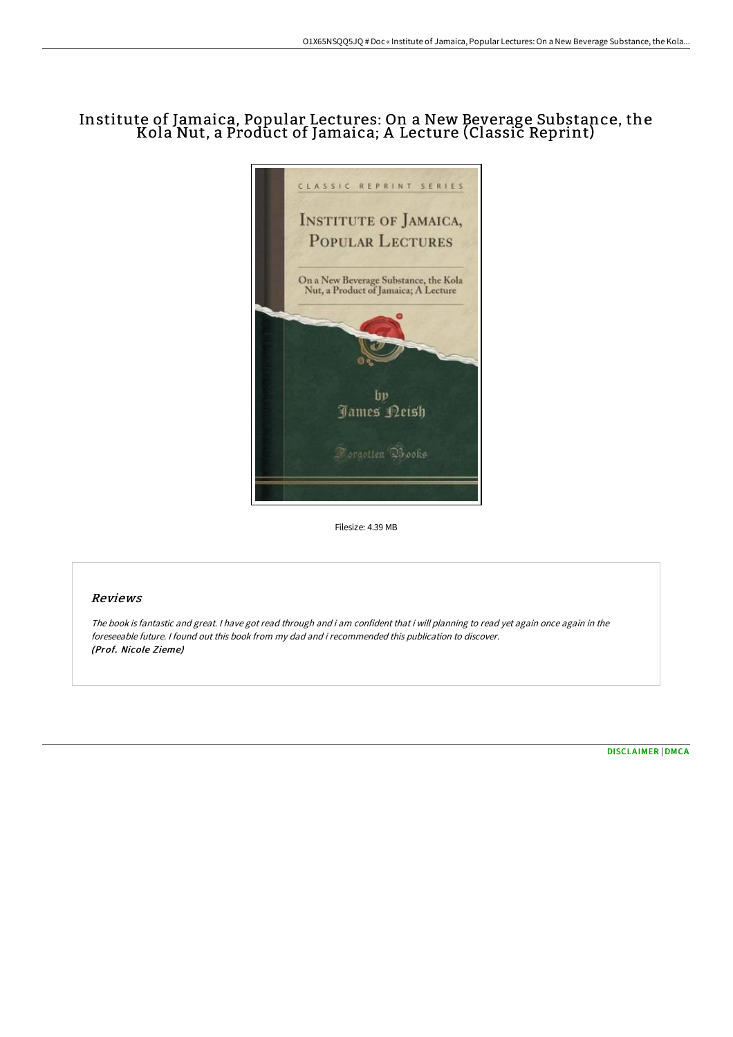## Institute of Jamaica, Popular Lectures: On a New Beverage Substance, the Kola Nut, a Product of Jamaica; A Lecture (Classic Reprint)



Filesize: 4.39 MB

## Reviews

The book is fantastic and great. <sup>I</sup> have got read through and i am confident that i will planning to read yet again once again in the foreseeable future. I found out this book from my dad and i recommended this publication to discover. (Prof. Nicole Zieme)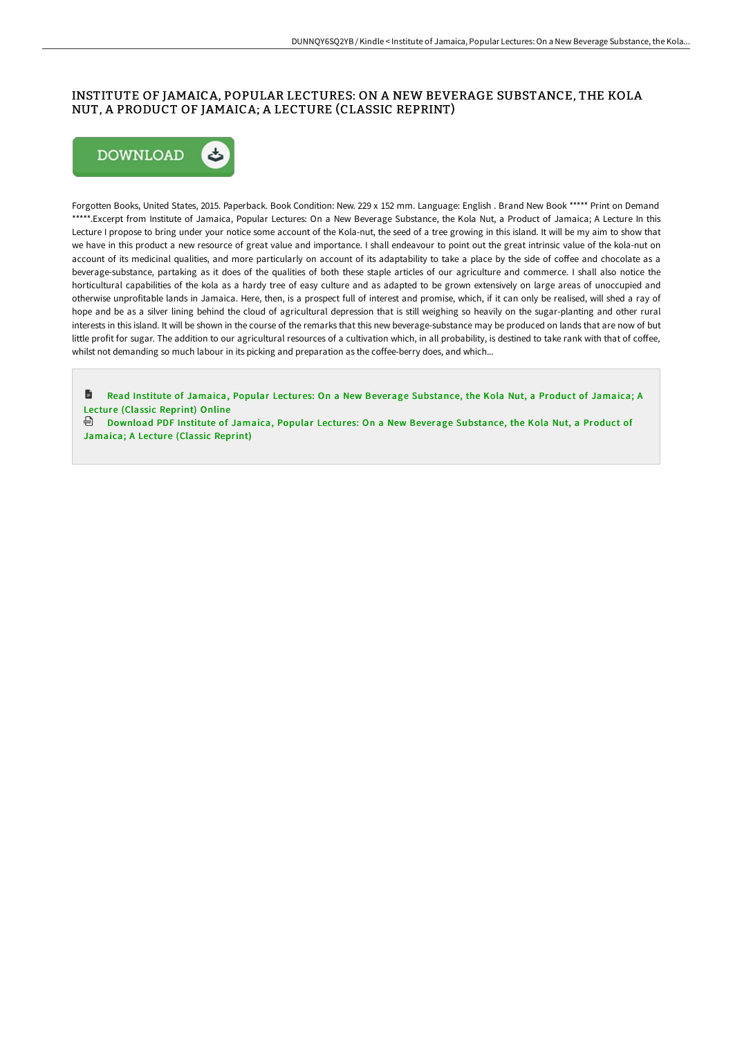## INSTITUTE OF JAMAICA, POPULAR LECTURES: ON A NEW BEVERAGE SUBSTANCE, THE KOLA NUT, A PRODUCT OF JAMAICA; A LECTURE (CLASSIC REPRINT)



Forgotten Books, United States, 2015. Paperback. Book Condition: New. 229 x 152 mm. Language: English . Brand New Book \*\*\*\*\* Print on Demand \*\*\*\*\*.Excerpt from Institute of Jamaica, Popular Lectures: On a New Beverage Substance, the Kola Nut, a Product of Jamaica; A Lecture In this Lecture I propose to bring under your notice some account of the Kola-nut, the seed of a tree growing in this island. It will be my aim to show that we have in this product a new resource of great value and importance. I shall endeavour to point out the great intrinsic value of the kola-nut on account of its medicinal qualities, and more particularly on account of its adaptability to take a place by the side of coffee and chocolate as a beverage-substance, partaking as it does of the qualities of both these staple articles of our agriculture and commerce. I shall also notice the horticultural capabilities of the kola as a hardy tree of easy culture and as adapted to be grown extensively on large areas of unoccupied and otherwise unprofitable lands in Jamaica. Here, then, is a prospect full of interest and promise, which, if it can only be realised, will shed a ray of hope and be as a silver lining behind the cloud of agricultural depression that is still weighing so heavily on the sugar-planting and other rural interests in this island. It will be shown in the course of the remarks that this new beverage-substance may be produced on lands that are now of but little profit for sugar. The addition to our agricultural resources of a cultivation which, in all probability, is destined to take rank with that of coffee, whilst not demanding so much labour in its picking and preparation as the coffee-berry does, and which...

旨 Read Institute of Jamaica, Popular Lectures: On a New Beverage [Substance,](http://techno-pub.tech/institute-of-jamaica-popular-lectures-on-a-new-b.html) the Kola Nut, a Product of Jamaica; A Lecture (Classic Reprint) Online

Download PDF Institute of Jamaica, Popular Lectures: On a New Beverage [Substance,](http://techno-pub.tech/institute-of-jamaica-popular-lectures-on-a-new-b.html) the Kola Nut, a Product of Jamaica; A Lecture (Classic Reprint)